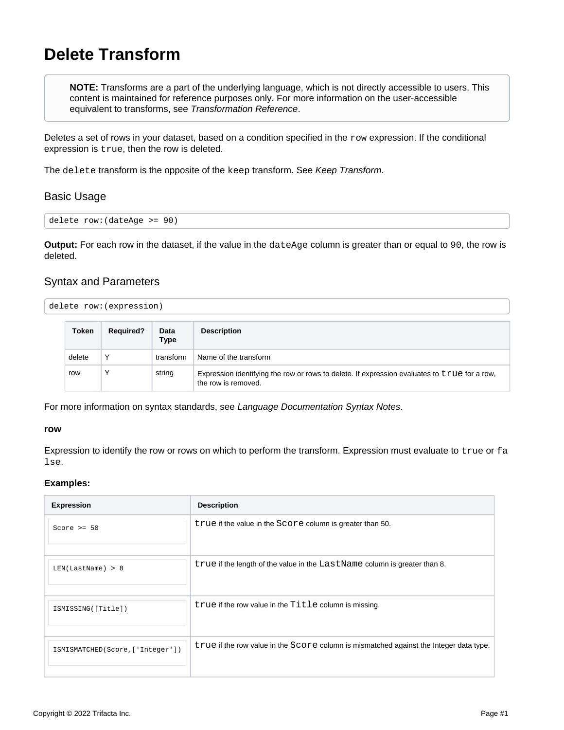# <span id="page-0-0"></span>**Delete Transform**

**NOTE:** Transforms are a part of the underlying language, which is not directly accessible to users. This content is maintained for reference purposes only. For more information on the user-accessible equivalent to transforms, see [Transformation Reference](https://docs.trifacta.com/display/r082/Transformation+Reference).

Deletes a set of rows in your dataset, based on a condition specified in the  $_{\rm row}$  expression. If the conditional expression is true, then the row is deleted.

The delete transform is the opposite of the keep transform. See [Keep Transform](https://docs.trifacta.com/display/r082/Keep+Transform).

# Basic Usage

delete row:(dateAge >= 90)

**Output:** For each row in the dataset, if the value in the dateAge column is greater than or equal to 90, the row is deleted.

# Syntax and Parameters

| delete row: (expression) |  |  |  |
|--------------------------|--|--|--|
|--------------------------|--|--|--|

| Token  | <b>Required?</b> | Data<br>Type | <b>Description</b>                                                                                                  |
|--------|------------------|--------------|---------------------------------------------------------------------------------------------------------------------|
| delete | ν                | transform    | Name of the transform                                                                                               |
| row    | ν                | string       | Expression identifying the row or rows to delete. If expression evaluates to true for a row,<br>the row is removed. |

For more information on syntax standards, see [Language Documentation Syntax Notes](https://docs.trifacta.com/display/r082/Language+Documentation+Syntax+Notes).

#### **row**

Expression to identify the row or rows on which to perform the transform. Expression must evaluate to true or fa lse.

#### **Examples:**

| <b>Expression</b>                | <b>Description</b>                                                                     |
|----------------------------------|----------------------------------------------------------------------------------------|
| Score $>= 50$                    | true if the value in the Score column is greater than 50.                              |
| LEN(LastName) > 8                | true if the length of the value in the LastName column is greater than 8.              |
| ISMISSING([Title])               | true if the row value in the Title column is missing.                                  |
| ISMISMATCHED(Score, ['Integer']) | true if the row value in the Score column is mismatched against the Integer data type. |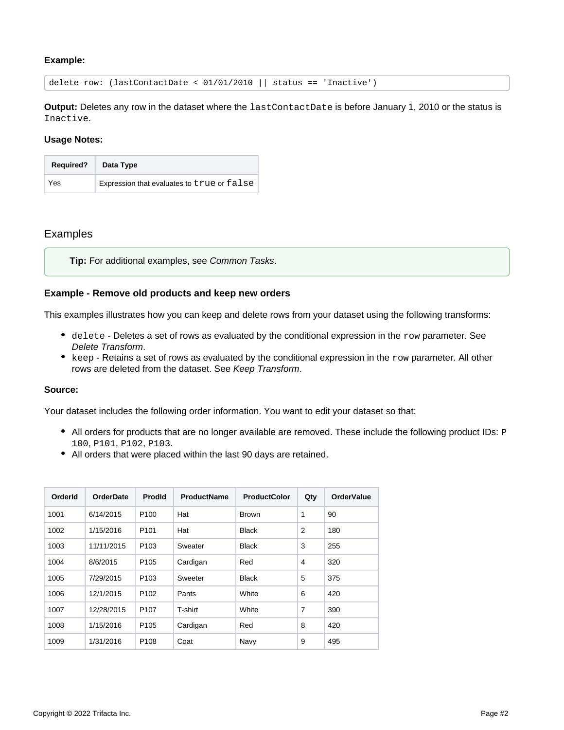## **Example:**

delete row: (lastContactDate < 01/01/2010 || status == 'Inactive')

**Output:** Deletes any row in the dataset where the lastContactDate is before January 1, 2010 or the status is Inactive.

#### **Usage Notes:**

| <b>Required?</b> | Data Type                                  |
|------------------|--------------------------------------------|
| Yes              | Expression that evaluates to true or false |

## Examples

**Tip:** For additional examples, see [Common Tasks](https://docs.trifacta.com/display/r082/Common+Tasks).

### **Example - Remove old products and keep new orders**

This examples illustrates how you can keep and delete rows from your dataset using the following transforms:

- $\bullet$  delete Deletes a set of rows as evaluated by the conditional expression in the row parameter. See [Delete Transform](#page-0-0).
- $\bullet$  keep Retains a set of rows as evaluated by the conditional expression in the  $_{\rm row}$  parameter. All other rows are deleted from the dataset. See [Keep Transform](https://docs.trifacta.com/display/r082/Keep+Transform).

## **Source:**

Your dataset includes the following order information. You want to edit your dataset so that:

- All orders for products that are no longer available are removed. These include the following product IDs: P 100, P101, P102, P103.
- All orders that were placed within the last 90 days are retained.

| OrderId | <b>OrderDate</b> | <b>Prodld</b>    | <b>ProductName</b> | <b>ProductColor</b> | Qty            | <b>OrderValue</b> |
|---------|------------------|------------------|--------------------|---------------------|----------------|-------------------|
| 1001    | 6/14/2015        | P <sub>100</sub> | Hat                | <b>Brown</b>        | 1              | 90                |
| 1002    | 1/15/2016        | P <sub>101</sub> | Hat                | <b>Black</b>        | $\overline{2}$ | 180               |
| 1003    | 11/11/2015       | P <sub>103</sub> | Sweater            | <b>Black</b>        | 3              | 255               |
| 1004    | 8/6/2015         | P <sub>105</sub> | Cardigan           | Red                 | 4              | 320               |
| 1005    | 7/29/2015        | P <sub>103</sub> | Sweeter            | <b>Black</b>        | 5              | 375               |
| 1006    | 12/1/2015        | P <sub>102</sub> | Pants              | White               | 6              | 420               |
| 1007    | 12/28/2015       | P <sub>107</sub> | T-shirt            | White               | $\overline{7}$ | 390               |
| 1008    | 1/15/2016        | P <sub>105</sub> | Cardigan           | Red                 | 8              | 420               |
| 1009    | 1/31/2016        | P <sub>108</sub> | Coat               | Navy                | 9              | 495               |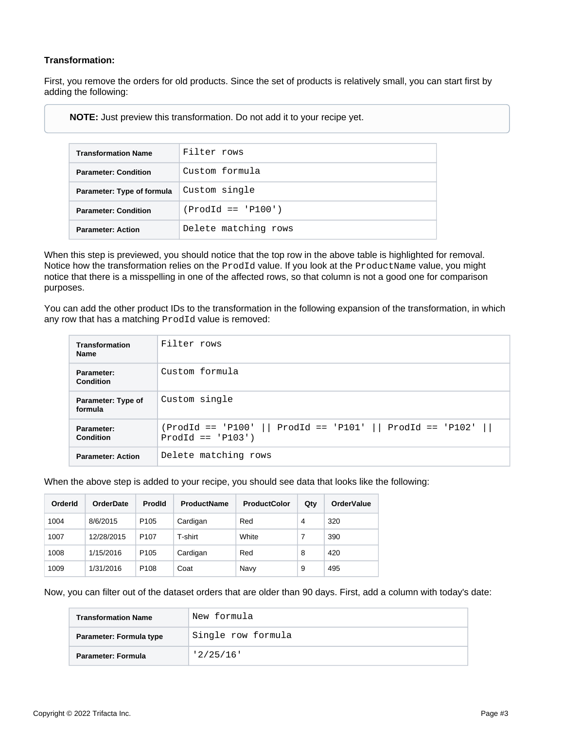# **Transformation:**

First, you remove the orders for old products. Since the set of products is relatively small, you can start first by adding the following:

**NOTE:** Just preview this transformation. Do not add it to your recipe yet.

| <b>Transformation Name</b>  | Filter rows          |
|-----------------------------|----------------------|
| <b>Parameter: Condition</b> | Custom formula       |
| Parameter: Type of formula  | Custom single        |
| <b>Parameter: Condition</b> | $(Produ == 'P100')$  |
| <b>Parameter: Action</b>    | Delete matching rows |

When this step is previewed, you should notice that the top row in the above table is highlighted for removal. Notice how the transformation relies on the ProdId value. If you look at the ProductName value, you might notice that there is a misspelling in one of the affected rows, so that column is not a good one for comparison purposes.

You can add the other product IDs to the transformation in the following expansion of the transformation, in which any row that has a matching ProdId value is removed:

| <b>Transformation</b><br><b>Name</b> | Filter rows                                                                           |
|--------------------------------------|---------------------------------------------------------------------------------------|
| Parameter:<br>Condition              | Custom formula                                                                        |
| Parameter: Type of<br>formula        | Custom single                                                                         |
| Parameter:<br><b>Condition</b>       | $(Product == 'P100'    Product == 'P101'    Product == 'P102'   $<br>$Prod = 'P103')$ |
| <b>Parameter: Action</b>             | Delete matching rows                                                                  |

When the above step is added to your recipe, you should see data that looks like the following:

| OrderId | <b>OrderDate</b> | <b>Prodld</b>    | <b>ProductName</b> | <b>ProductColor</b> | Qty | <b>OrderValue</b> |
|---------|------------------|------------------|--------------------|---------------------|-----|-------------------|
| 1004    | 8/6/2015         | P <sub>105</sub> | Cardigan           | Red                 | 4   | 320               |
| 1007    | 12/28/2015       | P <sub>107</sub> | T-shirt            | White               | 7   | 390               |
| 1008    | 1/15/2016        | P <sub>105</sub> | Cardigan           | Red                 | 8   | 420               |
| 1009    | 1/31/2016        | P <sub>108</sub> | Coat               | Navy                | 9   | 495               |

Now, you can filter out of the dataset orders that are older than 90 days. First, add a column with today's date:

| <b>Transformation Name</b> | 'New formula       |
|----------------------------|--------------------|
| Parameter: Formula type    | Single row formula |
| Parameter: Formula         | '2/25/16'          |